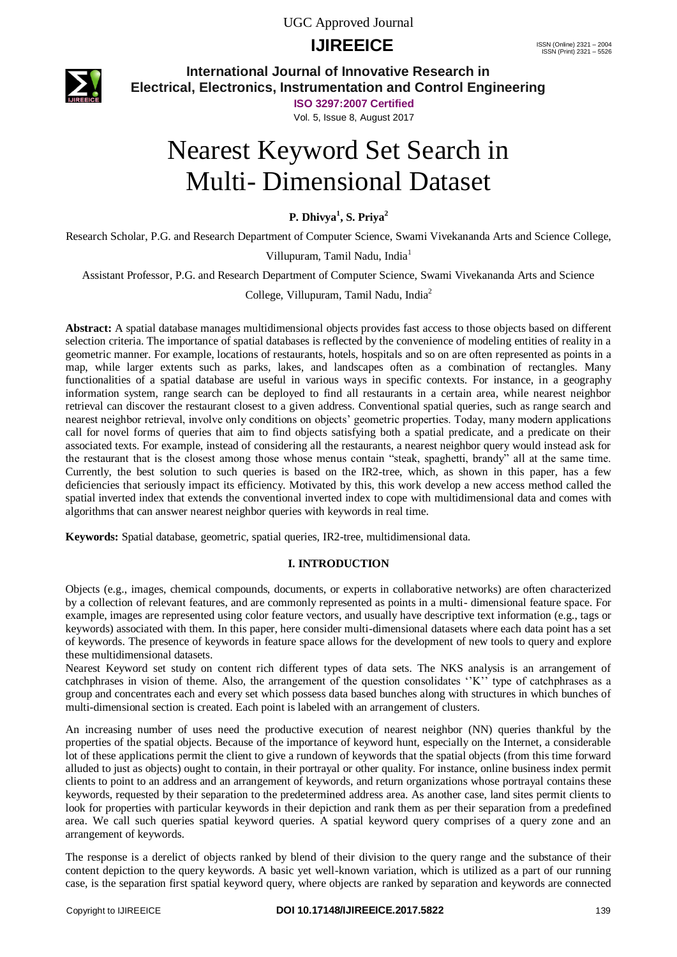UGC Approved Journal

## **IJIREEICE** ISSN (Online)  $2321 - 2004$ <br>
ISSN (Print)  $2321 - 2004$



**International Journal of Innovative Research in Electrical, Electronics, Instrumentation and Control Engineering**

**ISO 3297:2007 Certified**

Vol. 5, Issue 8, August 2017

# Nearest Keyword Set Search in Multi- Dimensional Dataset

**P. Dhivya<sup>1</sup> , S. Priya<sup>2</sup>**

Research Scholar, P.G. and Research Department of Computer Science, Swami Vivekananda Arts and Science College,

Villupuram, Tamil Nadu, India<sup>1</sup>

Assistant Professor, P.G. and Research Department of Computer Science, Swami Vivekananda Arts and Science

College, Villupuram, Tamil Nadu, India<sup>2</sup>

**Abstract:** A spatial database manages multidimensional objects provides fast access to those objects based on different selection criteria. The importance of spatial databases is reflected by the convenience of modeling entities of reality in a geometric manner. For example, locations of restaurants, hotels, hospitals and so on are often represented as points in a map, while larger extents such as parks, lakes, and landscapes often as a combination of rectangles. Many functionalities of a spatial database are useful in various ways in specific contexts. For instance, in a geography information system, range search can be deployed to find all restaurants in a certain area, while nearest neighbor retrieval can discover the restaurant closest to a given address. Conventional spatial queries, such as range search and nearest neighbor retrieval, involve only conditions on objects' geometric properties. Today, many modern applications call for novel forms of queries that aim to find objects satisfying both a spatial predicate, and a predicate on their associated texts. For example, instead of considering all the restaurants, a nearest neighbor query would instead ask for the restaurant that is the closest among those whose menus contain "steak, spaghetti, brandy" all at the same time. Currently, the best solution to such queries is based on the IR2-tree, which, as shown in this paper, has a few deficiencies that seriously impact its efficiency. Motivated by this, this work develop a new access method called the spatial inverted index that extends the conventional inverted index to cope with multidimensional data and comes with algorithms that can answer nearest neighbor queries with keywords in real time.

**Keywords:** Spatial database, geometric, spatial queries, IR2-tree, multidimensional data.

### **I. INTRODUCTION**

Objects (e.g., images, chemical compounds, documents, or experts in collaborative networks) are often characterized by a collection of relevant features, and are commonly represented as points in a multi- dimensional feature space. For example, images are represented using color feature vectors, and usually have descriptive text information (e.g., tags or keywords) associated with them. In this paper, here consider multi-dimensional datasets where each data point has a set of keywords. The presence of keywords in feature space allows for the development of new tools to query and explore these multidimensional datasets.

Nearest Keyword set study on content rich different types of data sets. The NKS analysis is an arrangement of catchphrases in vision of theme. Also, the arrangement of the question consolidates "K" type of catchphrases as a group and concentrates each and every set which possess data based bunches along with structures in which bunches of multi-dimensional section is created. Each point is labeled with an arrangement of clusters.

An increasing number of uses need the productive execution of nearest neighbor (NN) queries thankful by the properties of the spatial objects. Because of the importance of keyword hunt, especially on the Internet, a considerable lot of these applications permit the client to give a rundown of keywords that the spatial objects (from this time forward alluded to just as objects) ought to contain, in their portrayal or other quality. For instance, online business index permit clients to point to an address and an arrangement of keywords, and return organizations whose portrayal contains these keywords, requested by their separation to the predetermined address area. As another case, land sites permit clients to look for properties with particular keywords in their depiction and rank them as per their separation from a predefined area. We call such queries spatial keyword queries. A spatial keyword query comprises of a query zone and an arrangement of keywords.

The response is a derelict of objects ranked by blend of their division to the query range and the substance of their content depiction to the query keywords. A basic yet well-known variation, which is utilized as a part of our running case, is the separation first spatial keyword query, where objects are ranked by separation and keywords are connected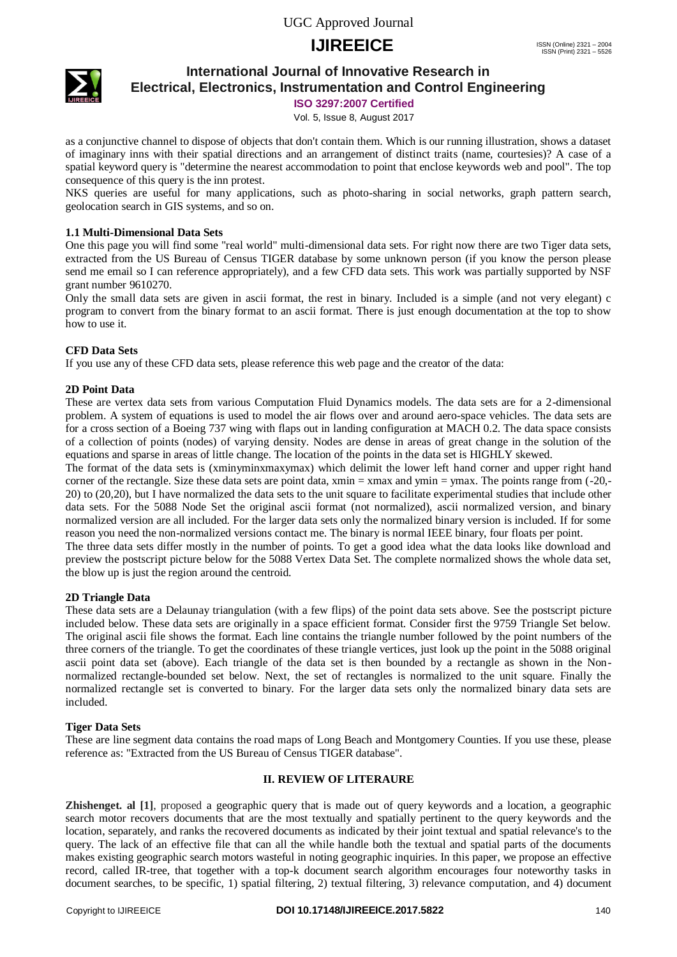UGC Approved Journal

## **IJIREEICE** ISSN (Online)  $2321 - 2004$ <br>
ISSN (Print)  $2321 - 2004$



## **International Journal of Innovative Research in Electrical, Electronics, Instrumentation and Control Engineering**

**ISO 3297:2007 Certified**

Vol. 5, Issue 8, August 2017

as a conjunctive channel to dispose of objects that don't contain them. Which is our running illustration, shows a dataset of imaginary inns with their spatial directions and an arrangement of distinct traits (name, courtesies)? A case of a spatial keyword query is "determine the nearest accommodation to point that enclose keywords web and pool". The top consequence of this query is the inn protest.

NKS queries are useful for many applications, such as photo-sharing in social networks, graph pattern search, geolocation search in GIS systems, and so on.

### **1.1 Multi-Dimensional Data Sets**

One this page you will find some "real world" multi-dimensional data sets. For right now there are two Tiger data sets, extracted from the US Bureau of Census TIGER database by some unknown person (if you know the person please send me email so I can reference appropriately), and a few CFD data sets. This work was partially supported by NSF grant number 9610270.

Only the small data sets are given in ascii format, the rest in binary. Included is a simple (and not very elegant) c program to convert from the binary format to an ascii format. There is just enough documentation at the top to show how to use it.

## **CFD Data Sets**

If you use any of these CFD data sets, please reference this web page and the creator of the data:

### **2D Point Data**

These are vertex data sets from various Computation Fluid Dynamics models. The data sets are for a 2-dimensional problem. A system of equations is used to model the air flows over and around aero-space vehicles. The data sets are for a cross section of a Boeing 737 wing with flaps out in landing configuration at MACH 0.2. The data space consists of a collection of points (nodes) of varying density. Nodes are dense in areas of great change in the solution of the equations and sparse in areas of little change. The location of the points in the data set is HIGHLY skewed.

The format of the data sets is (xminyminxmaxymax) which delimit the lower left hand corner and upper right hand corner of the rectangle. Size these data sets are point data, xmin = xmax and ymin = ymax. The points range from (-20,- 20) to (20,20), but I have normalized the data sets to the unit square to facilitate experimental studies that include other data sets. For the 5088 Node Set the original ascii format (not normalized), ascii normalized version, and binary normalized version are all included. For the larger data sets only the normalized binary version is included. If for some reason you need the non-normalized versions contact me. The binary is normal IEEE binary, four floats per point.

The three data sets differ mostly in the number of points. To get a good idea what the data looks like download and preview the postscript picture below for the 5088 Vertex Data Set. The complete normalized shows the whole data set, the blow up is just the region around the centroid.

### **2D Triangle Data**

These data sets are a Delaunay triangulation (with a few flips) of the point data sets above. See the postscript picture included below. These data sets are originally in a space efficient format. Consider first the 9759 Triangle Set below. The original ascii file shows the format. Each line contains the triangle number followed by the point numbers of the three corners of the triangle. To get the coordinates of these triangle vertices, just look up the point in the 5088 original ascii point data set (above). Each triangle of the data set is then bounded by a rectangle as shown in the Nonnormalized rectangle-bounded set below. Next, the set of rectangles is normalized to the unit square. Finally the normalized rectangle set is converted to binary. For the larger data sets only the normalized binary data sets are included.

### **Tiger Data Sets**

These are line segment data contains the road maps of Long Beach and Montgomery Counties. If you use these, please reference as: "Extracted from the US Bureau of Census TIGER database".

### **II. REVIEW OF LITERAURE**

**Zhishenget. al [1]**, proposed a geographic query that is made out of query keywords and a location, a geographic search motor recovers documents that are the most textually and spatially pertinent to the query keywords and the location, separately, and ranks the recovered documents as indicated by their joint textual and spatial relevance's to the query. The lack of an effective file that can all the while handle both the textual and spatial parts of the documents makes existing geographic search motors wasteful in noting geographic inquiries. In this paper, we propose an effective record, called IR-tree, that together with a top-k document search algorithm encourages four noteworthy tasks in document searches, to be specific, 1) spatial filtering, 2) textual filtering, 3) relevance computation, and 4) document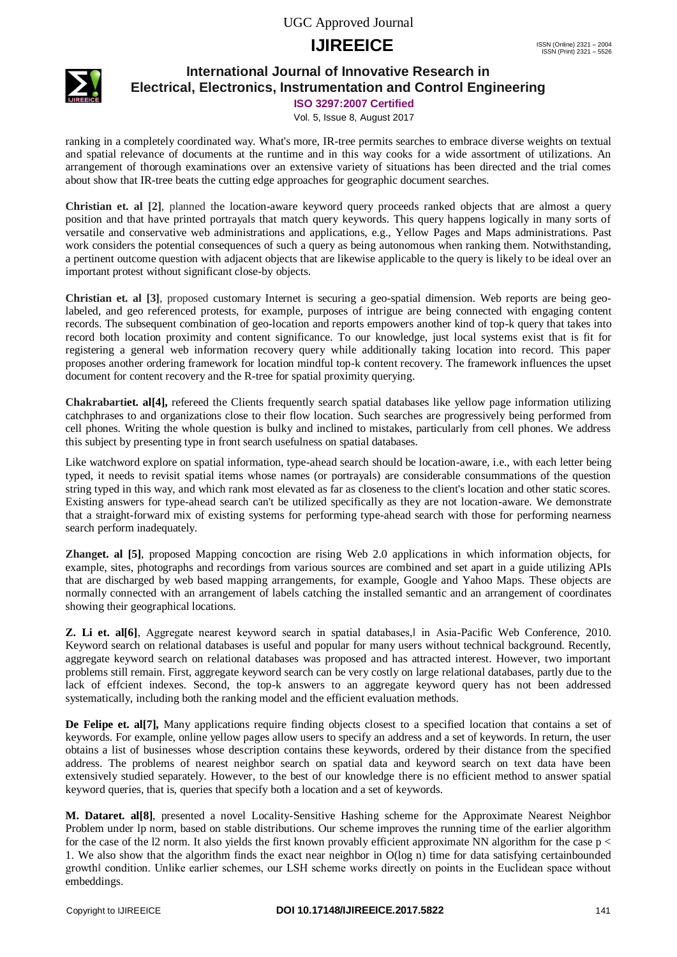

## **International Journal of Innovative Research in Electrical, Electronics, Instrumentation and Control Engineering**

**ISO 3297:2007 Certified**

Vol. 5, Issue 8, August 2017

ranking in a completely coordinated way. What's more, IR-tree permits searches to embrace diverse weights on textual and spatial relevance of documents at the runtime and in this way cooks for a wide assortment of utilizations. An arrangement of thorough examinations over an extensive variety of situations has been directed and the trial comes about show that IR-tree beats the cutting edge approaches for geographic document searches.

**Christian et. al [2]**, planned the location-aware keyword query proceeds ranked objects that are almost a query position and that have printed portrayals that match query keywords. This query happens logically in many sorts of versatile and conservative web administrations and applications, e.g., Yellow Pages and Maps administrations. Past work considers the potential consequences of such a query as being autonomous when ranking them. Notwithstanding, a pertinent outcome question with adjacent objects that are likewise applicable to the query is likely to be ideal over an important protest without significant close-by objects.

**Christian et. al [3]**, proposed customary Internet is securing a geo-spatial dimension. Web reports are being geolabeled, and geo referenced protests, for example, purposes of intrigue are being connected with engaging content records. The subsequent combination of geo-location and reports empowers another kind of top-k query that takes into record both location proximity and content significance. To our knowledge, just local systems exist that is fit for registering a general web information recovery query while additionally taking location into record. This paper proposes another ordering framework for location mindful top-k content recovery. The framework influences the upset document for content recovery and the R-tree for spatial proximity querying.

**Chakrabartiet. al[4],** refereed the Clients frequently search spatial databases like yellow page information utilizing catchphrases to and organizations close to their flow location. Such searches are progressively being performed from cell phones. Writing the whole question is bulky and inclined to mistakes, particularly from cell phones. We address this subject by presenting type in front search usefulness on spatial databases.

Like watchword explore on spatial information, type-ahead search should be location-aware, i.e., with each letter being typed, it needs to revisit spatial items whose names (or portrayals) are considerable consummations of the question string typed in this way, and which rank most elevated as far as closeness to the client's location and other static scores. Existing answers for type-ahead search can't be utilized specifically as they are not location-aware. We demonstrate that a straight-forward mix of existing systems for performing type-ahead search with those for performing nearness search perform inadequately.

**Zhanget. al [5]**, proposed Mapping concoction are rising Web 2.0 applications in which information objects, for example, sites, photographs and recordings from various sources are combined and set apart in a guide utilizing APIs that are discharged by web based mapping arrangements, for example, Google and Yahoo Maps. These objects are normally connected with an arrangement of labels catching the installed semantic and an arrangement of coordinates showing their geographical locations.

**Z. Li et. al[6]**, Aggregate nearest keyword search in spatial databases, in Asia-Pacific Web Conference, 2010. Keyword search on relational databases is useful and popular for many users without technical background. Recently, aggregate keyword search on relational databases was proposed and has attracted interest. However, two important problems still remain. First, aggregate keyword search can be very costly on large relational databases, partly due to the lack of effcient indexes. Second, the top-k answers to an aggregate keyword query has not been addressed systematically, including both the ranking model and the efficient evaluation methods.

**De Felipe et. al[7],** Many applications require finding objects closest to a specified location that contains a set of keywords. For example, online yellow pages allow users to specify an address and a set of keywords. In return, the user obtains a list of businesses whose description contains these keywords, ordered by their distance from the specified address. The problems of nearest neighbor search on spatial data and keyword search on text data have been extensively studied separately. However, to the best of our knowledge there is no efficient method to answer spatial keyword queries, that is, queries that specify both a location and a set of keywords.

**M. Dataret. al[8]**, presented a novel Locality-Sensitive Hashing scheme for the Approximate Nearest Neighbor Problem under lp norm, based on stable distributions. Our scheme improves the running time of the earlier algorithm for the case of the l2 norm. It also yields the first known provably efficient approximate NN algorithm for the case  $p <$ 1. We also show that the algorithm finds the exact near neighbor in O(log n) time for data satisfying certainbounded growth‖ condition. Unlike earlier schemes, our LSH scheme works directly on points in the Euclidean space without embeddings.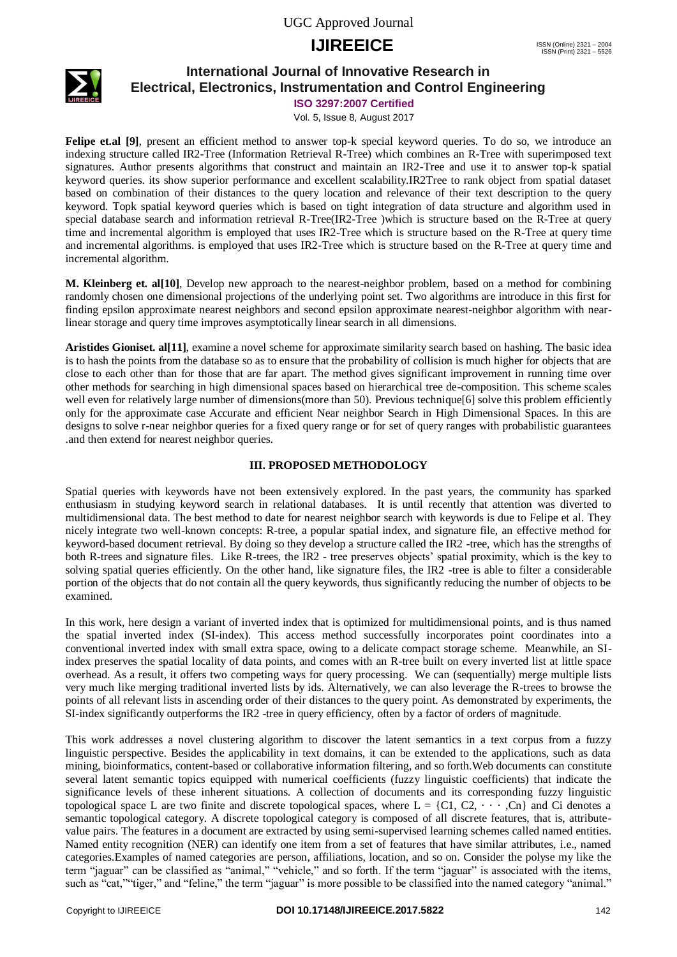

## **International Journal of Innovative Research in Electrical, Electronics, Instrumentation and Control Engineering**

**ISO 3297:2007 Certified**

Vol. 5, Issue 8, August 2017

**Felipe et.al [9]**, present an efficient method to answer top-k special keyword queries. To do so, we introduce an indexing structure called IR2-Tree (Information Retrieval R-Tree) which combines an R-Tree with superimposed text signatures. Author presents algorithms that construct and maintain an IR2-Tree and use it to answer top-k spatial keyword queries. its show superior performance and excellent scalability.IR2Tree to rank object from spatial dataset based on combination of their distances to the query location and relevance of their text description to the query keyword. Topk spatial keyword queries which is based on tight integration of data structure and algorithm used in special database search and information retrieval R-Tree(IR2-Tree )which is structure based on the R-Tree at query time and incremental algorithm is employed that uses IR2-Tree which is structure based on the R-Tree at query time and incremental algorithms. is employed that uses IR2-Tree which is structure based on the R-Tree at query time and incremental algorithm.

**M. Kleinberg et. al[10]**, Develop new approach to the nearest-neighbor problem, based on a method for combining randomly chosen one dimensional projections of the underlying point set. Two algorithms are introduce in this first for finding epsilon approximate nearest neighbors and second epsilon approximate nearest-neighbor algorithm with nearlinear storage and query time improves asymptotically linear search in all dimensions.

**Aristides Gioniset. al[11]**, examine a novel scheme for approximate similarity search based on hashing. The basic idea is to hash the points from the database so as to ensure that the probability of collision is much higher for objects that are close to each other than for those that are far apart. The method gives significant improvement in running time over other methods for searching in high dimensional spaces based on hierarchical tree de-composition. This scheme scales well even for relatively large number of dimensions(more than 50). Previous technique [6] solve this problem efficiently only for the approximate case Accurate and efficient Near neighbor Search in High Dimensional Spaces. In this are designs to solve r-near neighbor queries for a fixed query range or for set of query ranges with probabilistic guarantees .and then extend for nearest neighbor queries.

## **III. PROPOSED METHODOLOGY**

Spatial queries with keywords have not been extensively explored. In the past years, the community has sparked enthusiasm in studying keyword search in relational databases. It is until recently that attention was diverted to multidimensional data. The best method to date for nearest neighbor search with keywords is due to Felipe et al. They nicely integrate two well-known concepts: R-tree, a popular spatial index, and signature file, an effective method for keyword-based document retrieval. By doing so they develop a structure called the IR2 -tree, which has the strengths of both R-trees and signature files. Like R-trees, the IR2 - tree preserves objects" spatial proximity, which is the key to solving spatial queries efficiently. On the other hand, like signature files, the IR2 -tree is able to filter a considerable portion of the objects that do not contain all the query keywords, thus significantly reducing the number of objects to be examined.

In this work, here design a variant of inverted index that is optimized for multidimensional points, and is thus named the spatial inverted index (SI-index). This access method successfully incorporates point coordinates into a conventional inverted index with small extra space, owing to a delicate compact storage scheme. Meanwhile, an SIindex preserves the spatial locality of data points, and comes with an R-tree built on every inverted list at little space overhead. As a result, it offers two competing ways for query processing. We can (sequentially) merge multiple lists very much like merging traditional inverted lists by ids. Alternatively, we can also leverage the R-trees to browse the points of all relevant lists in ascending order of their distances to the query point. As demonstrated by experiments, the SI-index significantly outperforms the IR2 -tree in query efficiency, often by a factor of orders of magnitude.

This work addresses a novel clustering algorithm to discover the latent semantics in a text corpus from a fuzzy linguistic perspective. Besides the applicability in text domains, it can be extended to the applications, such as data mining, bioinformatics, content-based or collaborative information filtering, and so forth.Web documents can constitute several latent semantic topics equipped with numerical coefficients (fuzzy linguistic coefficients) that indicate the significance levels of these inherent situations. A collection of documents and its corresponding fuzzy linguistic topological space L are two finite and discrete topological spaces, where  $L = \{C_1, C_2, \dots, C_n\}$  and Ci denotes a semantic topological category. A discrete topological category is composed of all discrete features, that is, attributevalue pairs. The features in a document are extracted by using semi-supervised learning schemes called named entities. Named entity recognition (NER) can identify one item from a set of features that have similar attributes, i.e., named categories.Examples of named categories are person, affiliations, location, and so on. Consider the polyse my like the term "jaguar" can be classified as "animal," "vehicle," and so forth. If the term "jaguar" is associated with the items, such as "cat," "tiger," and "feline," the term "jaguar" is more possible to be classified into the named category "animal."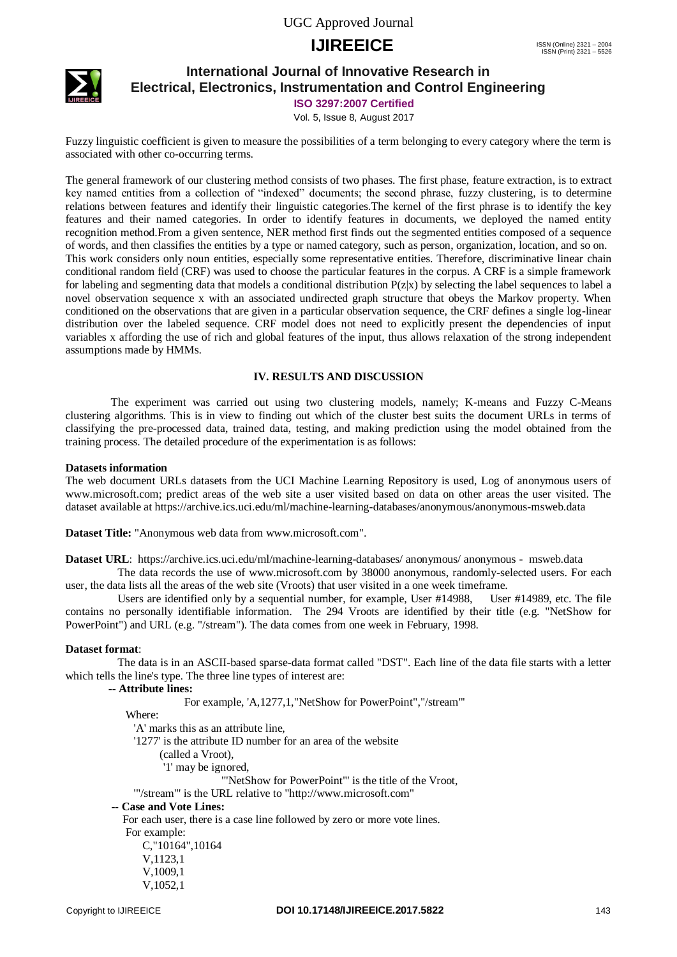

## **International Journal of Innovative Research in Electrical, Electronics, Instrumentation and Control Engineering**

**ISO 3297:2007 Certified**

Vol. 5, Issue 8, August 2017

Fuzzy linguistic coefficient is given to measure the possibilities of a term belonging to every category where the term is associated with other co-occurring terms.

The general framework of our clustering method consists of two phases. The first phase, feature extraction, is to extract key named entities from a collection of "indexed" documents; the second phrase, fuzzy clustering, is to determine relations between features and identify their linguistic categories.The kernel of the first phrase is to identify the key features and their named categories. In order to identify features in documents, we deployed the named entity recognition method.From a given sentence, NER method first finds out the segmented entities composed of a sequence of words, and then classifies the entities by a type or named category, such as person, organization, location, and so on. This work considers only noun entities, especially some representative entities. Therefore, discriminative linear chain conditional random field (CRF) was used to choose the particular features in the corpus. A CRF is a simple framework for labeling and segmenting data that models a conditional distribution  $P(z|x)$  by selecting the label sequences to label a novel observation sequence x with an associated undirected graph structure that obeys the Markov property. When conditioned on the observations that are given in a particular observation sequence, the CRF defines a single log-linear distribution over the labeled sequence. CRF model does not need to explicitly present the dependencies of input variables x affording the use of rich and global features of the input, thus allows relaxation of the strong independent assumptions made by HMMs.

### **IV. RESULTS AND DISCUSSION**

 The experiment was carried out using two clustering models, namely; K-means and Fuzzy C-Means clustering algorithms. This is in view to finding out which of the cluster best suits the document URLs in terms of classifying the pre-processed data, trained data, testing, and making prediction using the model obtained from the training process. The detailed procedure of the experimentation is as follows:

### **Datasets information**

The web document URLs datasets from the UCI Machine Learning Repository is used, Log of anonymous users of www.microsoft.com; predict areas of the web site a user visited based on data on other areas the user visited. The dataset available at https://archive.ics.uci.edu/ml/machine-learning-databases/anonymous/anonymous-msweb.data

**Dataset Title:** "Anonymous web data from www.microsoft.com".

**Dataset URL**: [https://archive.ics.uci.edu/ml/machine-learning-databases/ anonymous/ anonymous - msweb.d](https://archive.ics.uci.edu/ml/machine-learning-databases/%20anonymous/%20anonymous%20-%20%20msweb)ata

The data records the use of www.microsoft.com by 38000 anonymous, randomly-selected users. For each user, the data lists all the areas of the web site (Vroots) that user visited in a one week timeframe.

Users are identified only by a sequential number, for example, User #14988, User #14989, etc. The file contains no personally identifiable information. The 294 Vroots are identified by their title (e.g. "NetShow for PowerPoint") and URL (e.g. "/stream"). The data comes from one week in February, 1998.

### **Dataset format**:

The data is in an ASCII-based sparse-data format called "DST". Each line of the data file starts with a letter which tells the line's type. The three line types of interest are:

 **-- Attribute lines:**

For example, 'A,1277,1,"NetShow for PowerPoint","/stream"'

Where:

'A' marks this as an attribute line,

'1277' is the attribute ID number for an area of the website

(called a Vroot),

'1' may be ignored,

'"NetShow for PowerPoint"' is the title of the Vroot,

'"/stream"' is the URL relative to "http://www.microsoft.com"

 **-- Case and Vote Lines:**

 For each user, there is a case line followed by zero or more vote lines. For example: C,"10164",10164 V,1123,1 V,1009,1 V,1052,1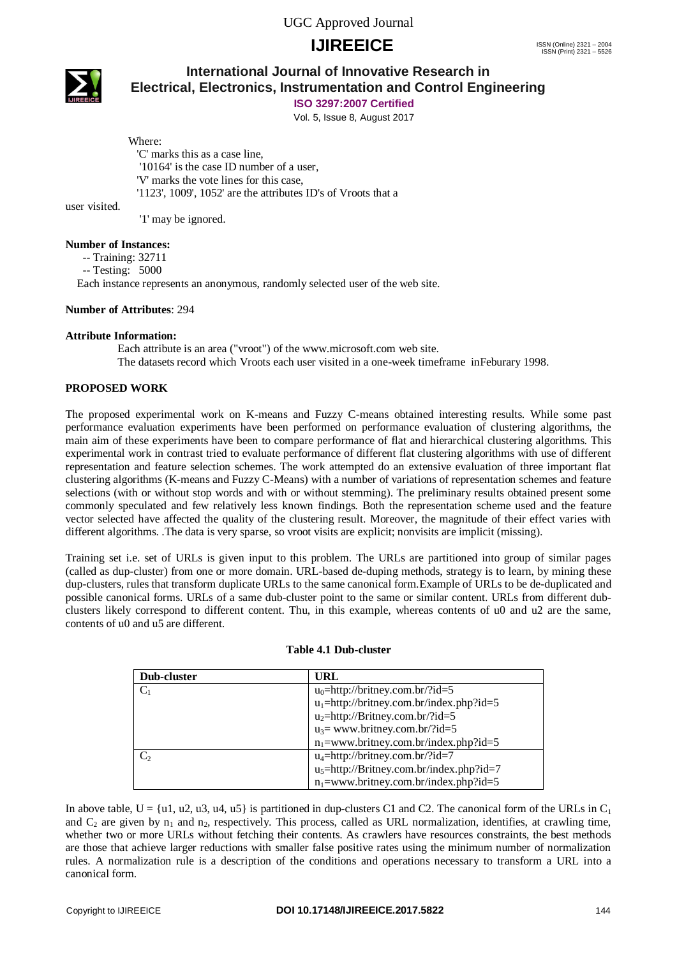

## **International Journal of Innovative Research in Electrical, Electronics, Instrumentation and Control Engineering**

**ISO 3297:2007 Certified**

Vol. 5, Issue 8, August 2017

#### Where:

 'C' marks this as a case line, '10164' is the case ID number of a user, 'V' marks the vote lines for this case, '1123', 1009', 1052' are the attributes ID's of Vroots that a

user visited.

'1' may be ignored.

### **Number of Instances:**

-- Training: 32711

-- Testing: 5000

Each instance represents an anonymous, randomly selected user of the web site.

### **Number of Attributes**: 294

### **Attribute Information:**

Each attribute is an area ("vroot") of the www.microsoft.com web site. The datasets record which Vroots each user visited in a one-week timeframe inFeburary 1998.

## **PROPOSED WORK**

The proposed experimental work on K-means and Fuzzy C-means obtained interesting results. While some past performance evaluation experiments have been performed on performance evaluation of clustering algorithms, the main aim of these experiments have been to compare performance of flat and hierarchical clustering algorithms. This experimental work in contrast tried to evaluate performance of different flat clustering algorithms with use of different representation and feature selection schemes. The work attempted do an extensive evaluation of three important flat clustering algorithms (K-means and Fuzzy C-Means) with a number of variations of representation schemes and feature selections (with or without stop words and with or without stemming). The preliminary results obtained present some commonly speculated and few relatively less known findings. Both the representation scheme used and the feature vector selected have affected the quality of the clustering result. Moreover, the magnitude of their effect varies with different algorithms. .The data is very sparse, so vroot visits are explicit; nonvisits are implicit (missing).

Training set i.e. set of URLs is given input to this problem. The URLs are partitioned into group of similar pages (called as dup-cluster) from one or more domain. URL-based de-duping methods, strategy is to learn, by mining these dup-clusters, rules that transform duplicate URLs to the same canonical form.Example of URLs to be de-duplicated and possible canonical forms. URLs of a same dub-cluster point to the same or similar content. URLs from different dubclusters likely correspond to different content. Thu, in this example, whereas contents of u0 and u2 are the same, contents of u0 and u5 are different.

| Dub-cluster | <b>URL</b>                                  |  |  |
|-------------|---------------------------------------------|--|--|
| $C_1$       | $u_0$ =http://britney.com.br/?id=5          |  |  |
|             | $u_1$ =http://britney.com.br/index.php?id=5 |  |  |
|             | $u_2$ =http://Britney.com.br/?id=5          |  |  |
|             | $u_3$ = www.britney.com.br/?id=5            |  |  |
|             | $n_1$ =www.britney.com.br/index.php?id=5    |  |  |
| $C_{2}$     | $u_4 =$ http://britney.com.br/?id=7         |  |  |
|             | $u_5$ =http://Britney.com.br/index.php?id=7 |  |  |
|             | $n_1$ =www.britney.com.br/index.php?id=5    |  |  |

### **Table 4.1 Dub-cluster**

In above table,  $U = \{u1, u2, u3, u4, u5\}$  is partitioned in dup-clusters C1 and C2. The canonical form of the URLs in C<sub>1</sub> and  $C_2$  are given by  $n_1$  and  $n_2$ , respectively. This process, called as URL normalization, identifies, at crawling time, whether two or more URLs without fetching their contents. As crawlers have resources constraints, the best methods are those that achieve larger reductions with smaller false positive rates using the minimum number of normalization rules. A normalization rule is a description of the conditions and operations necessary to transform a URL into a canonical form.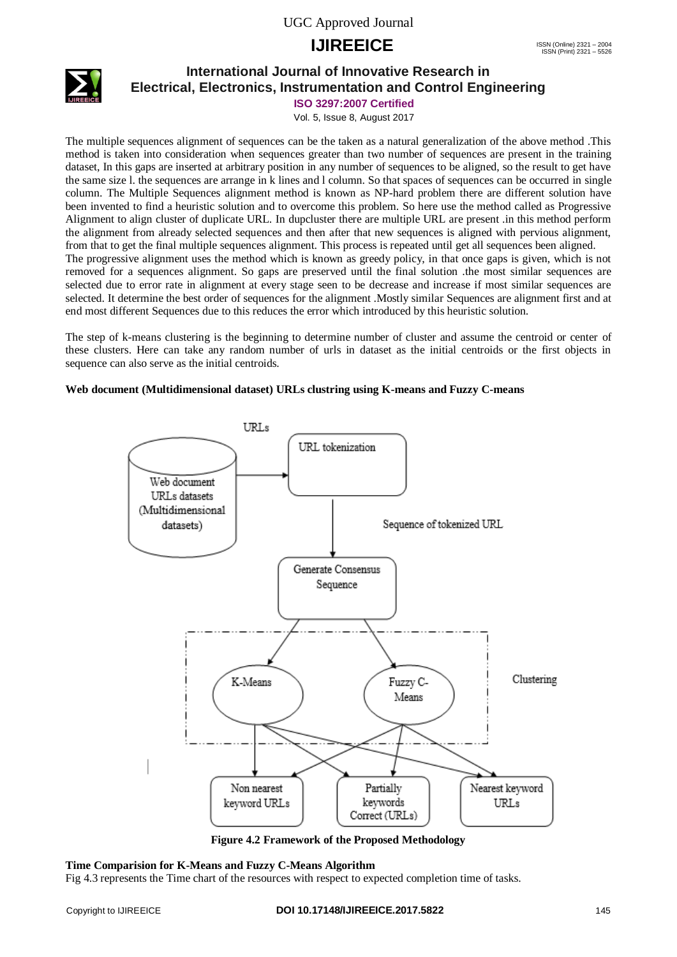

## **International Journal of Innovative Research in Electrical, Electronics, Instrumentation and Control Engineering**

**ISO 3297:2007 Certified**

Vol. 5, Issue 8, August 2017

The multiple sequences alignment of sequences can be the taken as a natural generalization of the above method .This method is taken into consideration when sequences greater than two number of sequences are present in the training dataset, In this gaps are inserted at arbitrary position in any number of sequences to be aligned, so the result to get have the same size l. the sequences are arrange in k lines and l column. So that spaces of sequences can be occurred in single column. The Multiple Sequences alignment method is known as NP-hard problem there are different solution have been invented to find a heuristic solution and to overcome this problem. So here use the method called as Progressive Alignment to align cluster of duplicate URL. In dupcluster there are multiple URL are present .in this method perform the alignment from already selected sequences and then after that new sequences is aligned with pervious alignment, from that to get the final multiple sequences alignment. This process is repeated until get all sequences been aligned. The progressive alignment uses the method which is known as greedy policy, in that once gaps is given, which is not removed for a sequences alignment. So gaps are preserved until the final solution .the most similar sequences are selected due to error rate in alignment at every stage seen to be decrease and increase if most similar sequences are selected. It determine the best order of sequences for the alignment .Mostly similar Sequences are alignment first and at end most different Sequences due to this reduces the error which introduced by this heuristic solution.

The step of k-means clustering is the beginning to determine number of cluster and assume the centroid or center of these clusters. Here can take any random number of urls in dataset as the initial centroids or the first objects in sequence can also serve as the initial centroids.

## **Web document (Multidimensional dataset) URLs clustring using K-means and Fuzzy C-means**



**Figure 4.2 Framework of the Proposed Methodology**

### **Time Comparision for K-Means and Fuzzy C-Means Algorithm**

Fig 4.3 represents the Time chart of the resources with respect to expected completion time of tasks.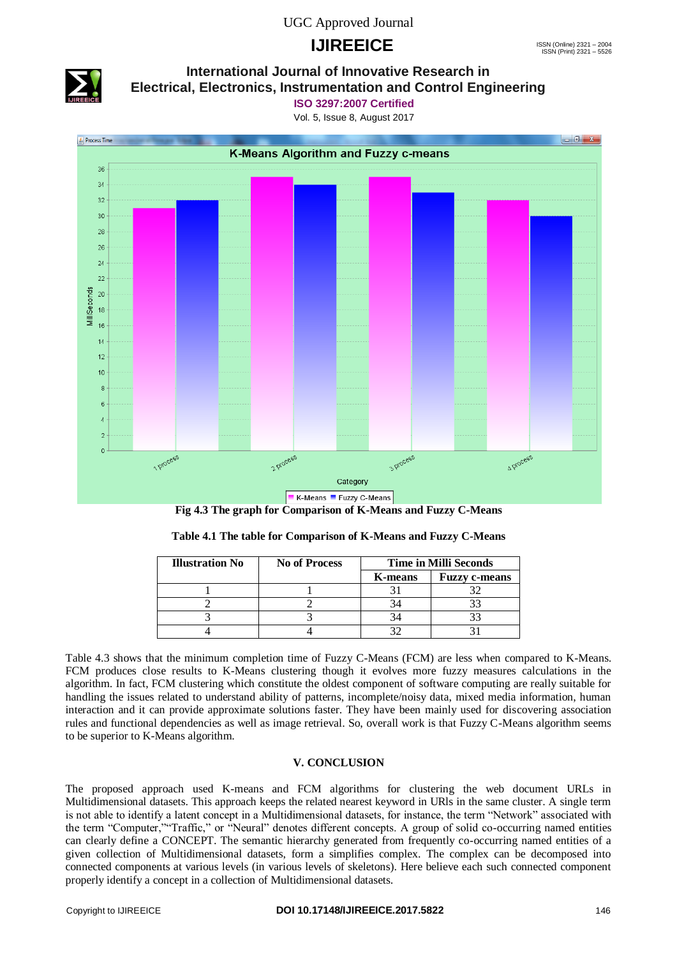## UGC Approved Journal

## **IJIREEICE** ISSN (Online)  $2321 - 2004$ <br>
ISSN (Print)  $2321 - 2004$



## **International Journal of Innovative Research in Electrical, Electronics, Instrumentation and Control Engineering**

**ISO 3297:2007 Certified**

Vol. 5, Issue 8, August 2017





| Table 4.1 The table for Comparison of K-Means and Fuzzy C-Means |  |  |
|-----------------------------------------------------------------|--|--|
|                                                                 |  |  |

| <b>Illustration No</b> | <b>No of Process</b> | <b>Time in Milli Seconds</b> |                      |  |
|------------------------|----------------------|------------------------------|----------------------|--|
|                        |                      | <b>K-means</b>               | <b>Fuzzy c-means</b> |  |
|                        |                      |                              |                      |  |
|                        |                      |                              |                      |  |
|                        |                      |                              |                      |  |
|                        |                      |                              |                      |  |

Table 4.3 shows that the minimum completion time of Fuzzy C-Means (FCM) are less when compared to K-Means. FCM produces close results to K-Means clustering though it evolves more fuzzy measures calculations in the algorithm. In fact, FCM clustering which constitute the oldest component of software computing are really suitable for handling the issues related to understand ability of patterns, incomplete/noisy data, mixed media information, human interaction and it can provide approximate solutions faster. They have been mainly used for discovering association rules and functional dependencies as well as image retrieval. So, overall work is that Fuzzy C-Means algorithm seems to be superior to K-Means algorithm.

## **V. CONCLUSION**

The proposed approach used K-means and FCM algorithms for clustering the web document URLs in Multidimensional datasets. This approach keeps the related nearest keyword in URls in the same cluster. A single term is not able to identify a latent concept in a Multidimensional datasets, for instance, the term "Network" associated with the term "Computer,""Traffic," or "Neural" denotes different concepts. A group of solid co-occurring named entities can clearly define a CONCEPT. The semantic hierarchy generated from frequently co-occurring named entities of a given collection of Multidimensional datasets, form a simplifies complex. The complex can be decomposed into connected components at various levels (in various levels of skeletons). Here believe each such connected component properly identify a concept in a collection of Multidimensional datasets.